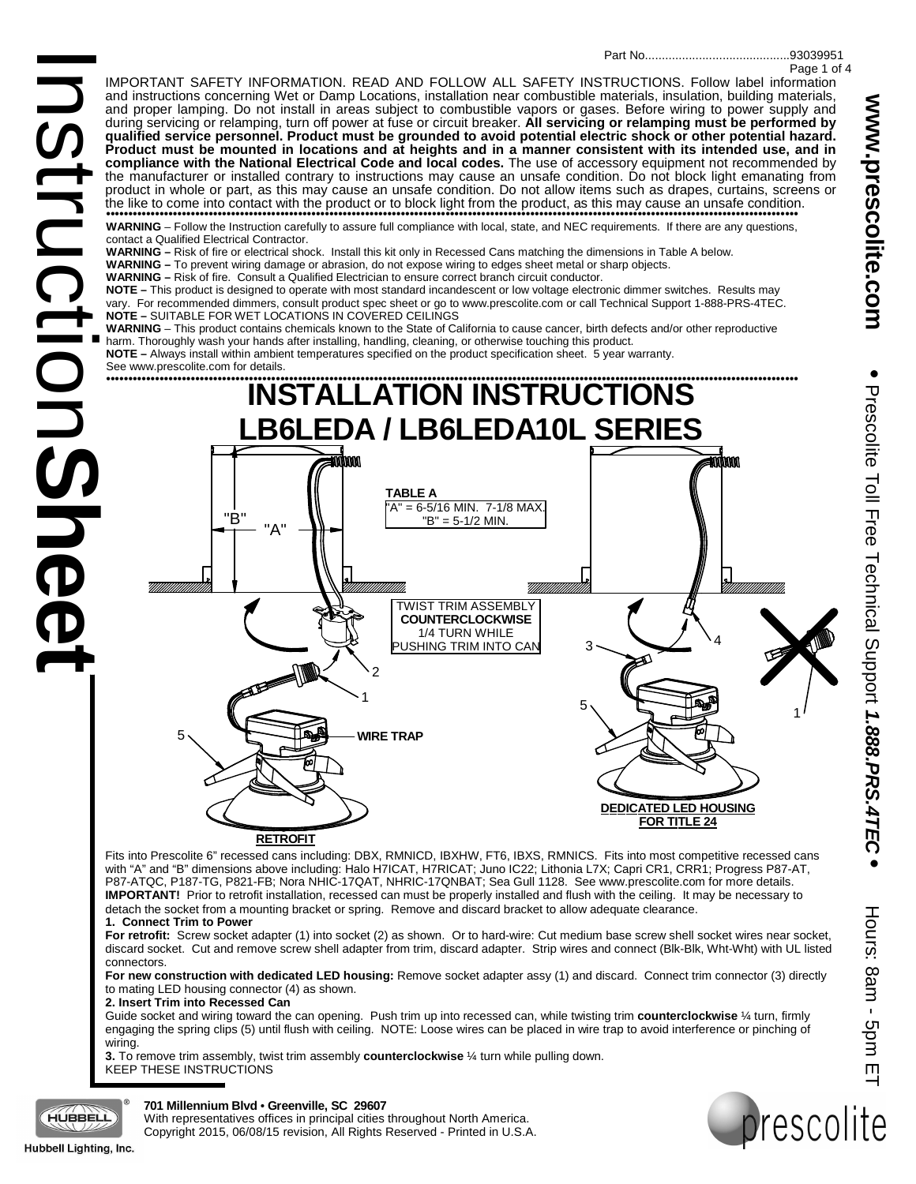IMPORTANT SAFETY INFORMATION. READ AND FOLLOW ALL SAFETY INSTRUCTIONS. Follow label information and instructions concerning Wet or Damp Locations, installation near combustible materials, insulation, building materials, and proper lamping. Do not install in areas subject to combustible vapors or gases. Before wiring to power supply and during servicing or relamping, turn off power at fuse or circuit breaker. **All servicing or relamping must be performed by qualified service personnel. Product must be grounded to avoid potential electric shock or other potential hazard. Product must be mounted in locations and at heights and in a manner consistent with its intended use, and in compliance with the National Electrical Code and local codes.** The use of accessory equipment not recommended by the manufacturer or installed contrary to instructions may cause an unsafe condition. Do not block light emanating from product in whole or part, as this may cause an unsafe condition. Do not allow items such as drapes, curtains, screens or the like to come into contact with the product or to block light from the product, as this may cause an unsafe condition. •••••••••••••••••••••••••••••••••••••••••••••••••••••••••••••••••••••••••••••••••••••••••••••••••••••••••••••••••••••••••••••••••••••••••••••••••••••••••••

**WARNING** – Follow the Instruction carefully to assure full compliance with local, state, and NEC requirements. If there are any questions, contact a Qualified Electrical Contractor.

**WARNING –** Risk of fire or electrical shock. Install this kit only in Recessed Cans matching the dimensions in Table A below.

**WARNING –** To prevent wiring damage or abrasion, do not expose wiring to edges sheet metal or sharp objects.

**WARNING –** Risk of fire. Consult a Qualified Electrician to ensure correct branch circuit conductor.

Instructio **NOTE –** This product is designed to operate with most standard incandescent or low voltage electronic dimmer switches. Results may vary. For recommended dimmers, consult product spec sheet or go to www.prescolite.com or call Technical Support 1-888-PRS-4TEC. **NOTE –** SUITABLE FOR WET LOCATIONS IN COVERED CEILINGS

**WARNING** – This product contains chemicals known to the State of California to cause cancer, birth defects and/or other reproductive harm. Thoroughly wash your hands after installing, handling, cleaning, or otherwise touching this product.

**NOTE –** Always install within ambient temperatures specified on the product specification sheet. 5 year warranty.

See www.prescolite.com for details.



Fits into Prescolite 6" recessed cans including: DBX, RMNICD, IBXHW, FT6, IBXS, RMNICS. Fits into most competitive recessed cans with "A" and "B" dimensions above including: Halo H7ICAT, H7RICAT; Juno IC22; Lithonia L7X; Capri CR1, CRR1; Progress P87-AT, P87-ATQC, P187-TG, P821-FB; Nora NHIC-17QAT, NHRIC-17QNBAT; Sea Gull 1128. See www.prescolite.com for more details. **IMPORTANT!** Prior to retrofit installation, recessed can must be properly installed and flush with the ceiling. It may be necessary to detach the socket from a mounting bracket or spring. Remove and discard bracket to allow adequate clearance. **1. Connect Trim to Power**

**For retrofit:** Screw socket adapter (1) into socket (2) as shown. Or to hard-wire: Cut medium base screw shell socket wires near socket, discard socket. Cut and remove screw shell adapter from trim, discard adapter. Strip wires and connect (Blk-Blk, Wht-Wht) with UL listed connectors.

**For new construction with dedicated LED housing:** Remove socket adapter assy (1) and discard. Connect trim connector (3) directly to mating LED housing connector (4) as shown.

#### **2. Insert Trim into Recessed Can**

Guide socket and wiring toward the can opening. Push trim up into recessed can, while twisting trim **counterclockwise** ¼ turn, firmly engaging the spring clips (5) until flush with ceiling. NOTE: Loose wires can be placed in wire trap to avoid interference or pinching of wiring.

**3.** To remove trim assembly, twist trim assembly **counterclockwise** ¼ turn while pulling down. KEEP THESE INSTRUCTIONS

 $\mathbf{D}$ 

**Sheet** 

## **701 Millennium Blvd** • **Greenville, SC 29607**

With representatives offices in principal cities throughout North America. Copyright 2015, 06/08/15 revision, All Rights Reserved - Printed in U.S.A.



Prescolite Toll Free Technical Support

Prescolite Toll Free Technical Support 1.888.PRS.4TEC

**1.888.PRS.4TEC**

**•**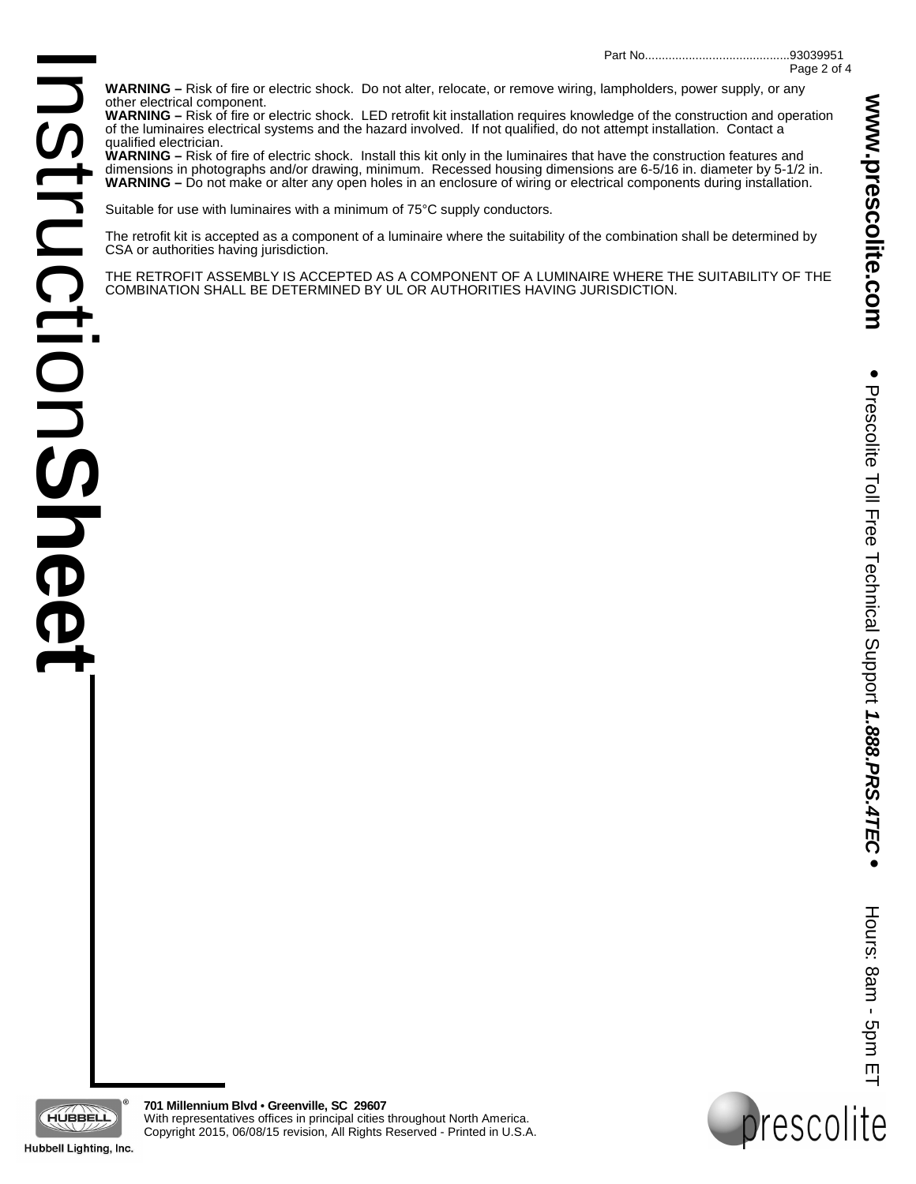**WARNING –** Risk of fire or electric shock. Do not alter, relocate, or remove wiring, lampholders, power supply, or any other electrical component.

**WARNING –** Risk of fire or electric shock. LED retrofit kit installation requires knowledge of the construction and operation of the luminaires electrical systems and the hazard involved. If not qualified, do not attempt installation. Contact a qualified electrician.

**WARNING –** Risk of fire of electric shock. Install this kit only in the luminaires that have the construction features and dimensions in photographs and/or drawing, minimum. Recessed housing dimensions are 6-5/16 in. diameter by 5-1/2 in. **WARNING –** Do not make or alter any open holes in an enclosure of wiring or electrical components during installation.

Suitable for use with luminaires with a minimum of 75°C supply conductors.

The retrofit kit is accepted as a component of a luminaire where the suitability of the combination shall be determined by CSA or authorities having jurisdiction.

THE RETROFIT ASSEMBLY IS ACCEPTED AS A COMPONENT OF A LUMINAIRE WHERE THE SUITABILITY OF THE COMBINATION SHALL BE DETERMINED BY UL OR AUTHORITIES HAVING JURISDICTION.

**•**

Hours: 8am - 5pm ET

rescolite

Hours: 8am - 5pm E



**701 Millennium Blvd** • **Greenville, SC 29607** With representatives offices in principal cities throughout North America. Copyright 2015, 06/08/15 revision, All Rights Reserved - Printed in U.S.A.

Hubbell Lighting, Inc.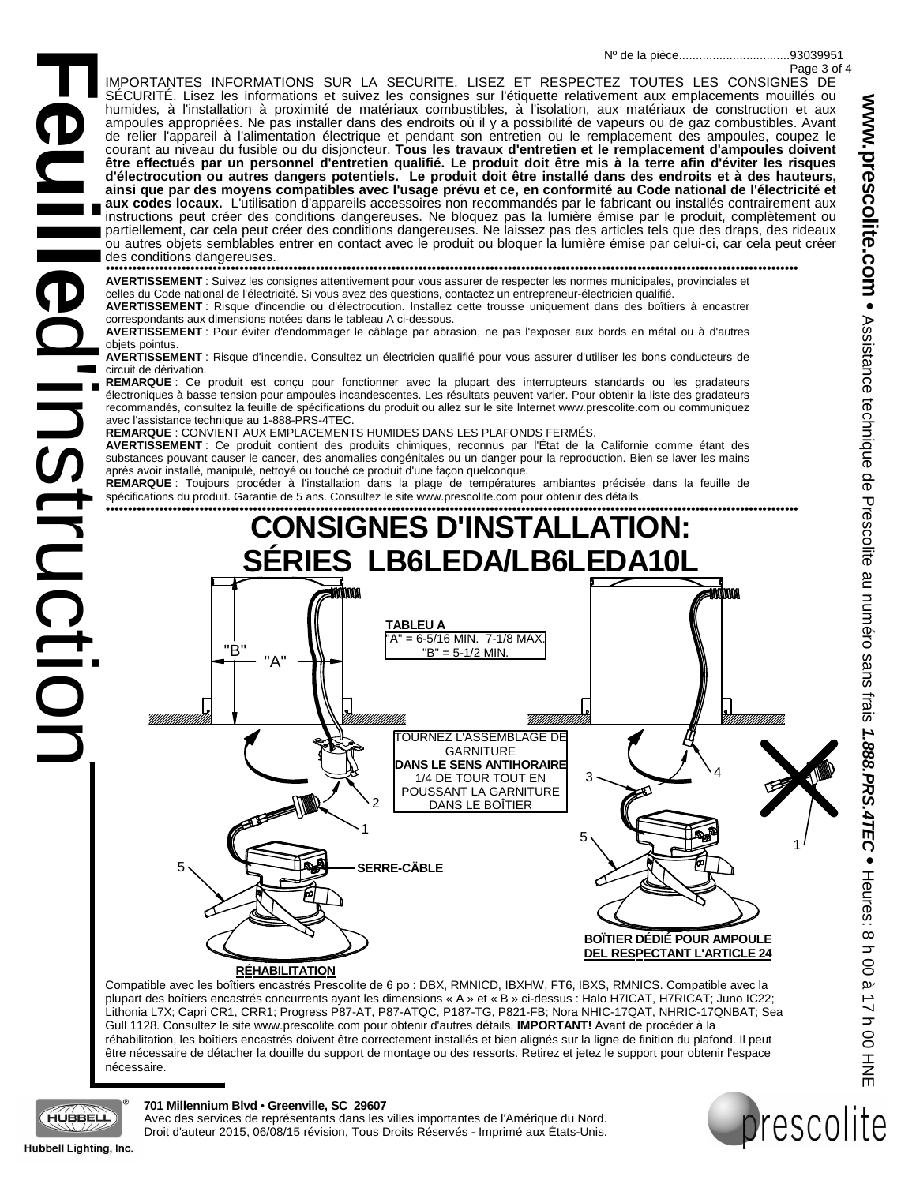93039951 Nº de la pièce.................................

Page 3 of 4

**Feuille** IMPORTANTES INFORMATIONS SUR LA SÉCURITÉ. LISEZ ET RESPECTEZ TOUTES LES CONSIGNES DE SÉCURITÉ. Lisez les informations et suivez les consignes sur l'étiquette relativement aux emplacements mouillés ou humides, à l'installation à proximité de matériaux combustibles, à l'isolation, aux matériaux de construction et aux ampoules appropriées. Ne pas installer dans des endroits où il y a possibilité de vapeurs ou de gaz combustibles. Avant de relier l'appareil à l'alimentation électrique et pendant son entretien ou le remplacement des ampoules, coupez le courant au niveau du fusible ou du disjoncteur. **Tous les travaux d'entretien et le remplacement d'ampoules doivent être effectués par un personnel d'entretien qualifié. Le produit doit être mis à la terre afin d'éviter les risques d'électrocution ou autres dangers potentiels. Le produit doit être installé dans des endroits et à des hauteurs, ainsi que par des moyens compatibles avec l'usage prévu et ce, en conformité au Code national de l'électricité et aux codes locaux.** L'utilisation d'appareils accessoires non recommandés par le fabricant ou installés contrairement aux instructions peut créer des conditions dangereuses. Ne bloquez pas la lumière émise par le produit, complètement ou partiellement, car cela peut créer des conditions dangereuses. Ne laissez pas des articles tels que des draps, des rideaux ou autres objets semblables entrer en contact avec le produit ou bloquer la lumière émise par celui-ci, car cela peut créer des conditions dangereuses.

••••••••••••••••••••••••••••••••••••••••••••••••••••••••••••••••••••••••••••••••••••••••••••••••••••••••••••••••••••••••••••••••••••••••••••••••••••••••••• **AVERTISSEMENT** : Suivez les consignes attentivement pour vous assurer de respecter les normes municipales, provinciales et

celles du Code national de l'électricité. Si vous avez des questions, contactez un entrepreneur-électricien qualifié.

**AVERTISSEMENT** : Risque d'incendie ou d'électrocution. Installez cette trousse uniquement dans des boîtiers à encastrer correspondants aux dimensions notées dans le tableau A ci-dessous.

**AVERTISSEMENT** : Pour éviter d'endommager le câblage par abrasion, ne pas l'exposer aux bords en métal ou à d'autres objets pointus.

**AVERTISSEMENT** : Risque d'incendie. Consultez un électricien qualifié pour vous assurer d'utiliser les bons conducteurs de circuit de dérivation.

**REMARQUE** : Ce produit est conçu pour fonctionner avec la plupart des interrupteurs standards ou les gradateurs électroniques à basse tension pour ampoules incandescentes. Les résultats peuvent varier. Pour obtenir la liste des gradateurs recommandés, consultez la feuille de spécifications du produit ou allez sur le site Internet www.prescolite.com ou communiquez avec l'assistance technique au 1-888-PRS-4TEC.

**REMARQUE** : CONVIENT AUX EMPLACEMENTS HUMIDES DANS LES PLAFONDS FERMÉS.

d'instructio **AVERTISSEMENT** : Ce produit contient des produits chimiques, reconnus par l'État de la Californie comme étant des substances pouvant causer le cancer, des anomalies congénitales ou un danger pour la reproduction. Bien se laver les mains après avoir installé, manipulé, nettoyé ou touché ce produit d'une façon quelconque.

**REMARQUE** : Toujours procéder à l'installation dans la plage de températures ambiantes précisée dans la feuille de spécifications du produit. Garantie de 5 ans. Consultez le site www.prescolite.com pour obtenir des détails.



Compatible avec les boîtiers encastrés Prescolite de 6 po : DBX, RMNICD, IBXHW, FT6, IBXS, RMNICS. Compatible avec la plupart des boîtiers encastrés concurrents ayant les dimensions « A » et « B » ci-dessus : Halo H7ICAT, H7RICAT; Juno IC22; Lithonia L7X; Capri CR1, CRR1; Progress P87-AT, P87-ATQC, P187-TG, P821-FB; Nora NHIC-17QAT, NHRIC-17QNBAT; Sea Gull 1128. Consultez le site www.prescolite.com pour obtenir d'autres détails. **IMPORTANT!** Avant de procéder à la réhabilitation, les boîtiers encastrés doivent être correctement installés et bien alignés sur la ligne de finition du plafond. Il peut être nécessaire de détacher la douille du support de montage ou des ressorts. Retirez et jetez le support pour obtenir l'espace nécessaire.

HUBBELL

# **701 Millennium Blvd** • **Greenville, SC 29607**

Avec des services de représentants dans les villes importantes de l'Amérique du Nord. Droit d'auteur 2015, 06/08/15 révision, Tous Droits Réservés - Imprimé aux États-Unis.



**NStructiol**